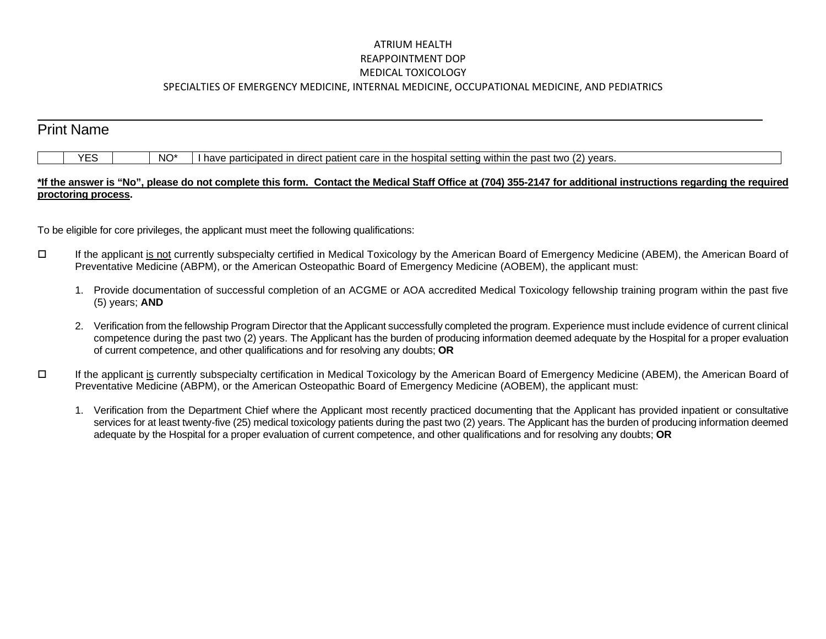## ATRIUM HEALTH REAPPOINTMENT DOP MEDICAL TOXICOLOGY SPECIALTIES OF EMERGENCY MEDICINE, INTERNAL MEDICINE, OCCUPATIONAL MEDICINE, AND PEDIATRICS

## $\overline{a}$ Print Name  $YES$  NO\* I have participated in direct patient care in the hospital setting within the past two (2) years.

## **\*If the answer is "No", please do not complete this form. Contact the Medical Staff Office at (704) 355-2147 for additional instructions regarding the required proctoring process.**

To be eligible for core privileges, the applicant must meet the following qualifications:

- If the applicant is not currently subspecialty certified in Medical Toxicology by the American Board of Emergency Medicine (ABEM), the American Board of Preventative Medicine (ABPM), or the American Osteopathic Board of Emergency Medicine (AOBEM), the applicant must:
	- 1. Provide documentation of successful completion of an ACGME or AOA accredited Medical Toxicology fellowship training program within the past five (5) years; **AND**
	- 2. Verification from the fellowship Program Director that the Applicant successfully completed the program. Experience must include evidence of current clinical competence during the past two (2) years. The Applicant has the burden of producing information deemed adequate by the Hospital for a proper evaluation of current competence, and other qualifications and for resolving any doubts; **OR**
- If the applicant is currently subspecialty certification in Medical Toxicology by the American Board of Emergency Medicine (ABEM), the American Board of Preventative Medicine (ABPM), or the American Osteopathic Board of Emergency Medicine (AOBEM), the applicant must:
	- 1. Verification from the Department Chief where the Applicant most recently practiced documenting that the Applicant has provided inpatient or consultative services for at least twenty-five (25) medical toxicology patients during the past two (2) years. The Applicant has the burden of producing information deemed adequate by the Hospital for a proper evaluation of current competence, and other qualifications and for resolving any doubts; **OR**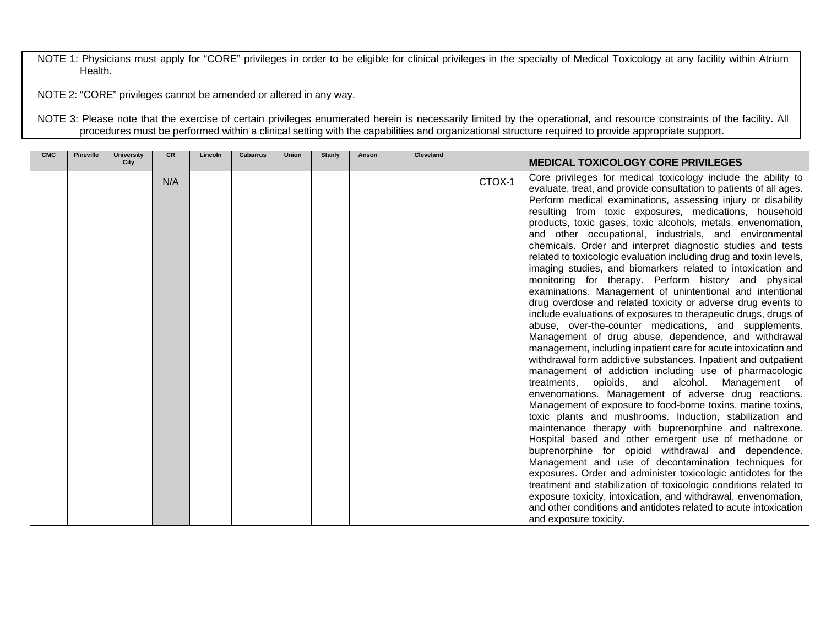NOTE 1: Physicians must apply for "CORE" privileges in order to be eligible for clinical privileges in the specialty of Medical Toxicology at any facility within Atrium Health.

NOTE 2: "CORE" privileges cannot be amended or altered in any way.

NOTE 3: Please note that the exercise of certain privileges enumerated herein is necessarily limited by the operational, and resource constraints of the facility. All procedures must be performed within a clinical setting with the capabilities and organizational structure required to provide appropriate support.

| <b>CMC</b> | <b>Pineville</b> | University<br>City | <b>CR</b> | Lincoln | <b>Cabarrus</b> | <b>Union</b> | <b>Stanly</b> | Anson | Cleveland |        | <b>MEDICAL TOXICOLOGY CORE PRIVILEGES</b>                                                                                                                                                                                                                                                                                                                                                                                                                                                                                                                                                                                                                                                                                                                                                                                                                                                                                                                                                                                                                                                                                                                                                                                                                                                                                                                                                                                                                                                                                                                                                                                                                                                                                                                                                                                                                                                                                                           |
|------------|------------------|--------------------|-----------|---------|-----------------|--------------|---------------|-------|-----------|--------|-----------------------------------------------------------------------------------------------------------------------------------------------------------------------------------------------------------------------------------------------------------------------------------------------------------------------------------------------------------------------------------------------------------------------------------------------------------------------------------------------------------------------------------------------------------------------------------------------------------------------------------------------------------------------------------------------------------------------------------------------------------------------------------------------------------------------------------------------------------------------------------------------------------------------------------------------------------------------------------------------------------------------------------------------------------------------------------------------------------------------------------------------------------------------------------------------------------------------------------------------------------------------------------------------------------------------------------------------------------------------------------------------------------------------------------------------------------------------------------------------------------------------------------------------------------------------------------------------------------------------------------------------------------------------------------------------------------------------------------------------------------------------------------------------------------------------------------------------------------------------------------------------------------------------------------------------------|
|            |                  |                    | N/A       |         |                 |              |               |       |           | CTOX-1 | Core privileges for medical toxicology include the ability to<br>evaluate, treat, and provide consultation to patients of all ages.<br>Perform medical examinations, assessing injury or disability<br>resulting from toxic exposures, medications, household<br>products, toxic gases, toxic alcohols, metals, envenomation,<br>and other occupational, industrials, and environmental<br>chemicals. Order and interpret diagnostic studies and tests<br>related to toxicologic evaluation including drug and toxin levels,<br>imaging studies, and biomarkers related to intoxication and<br>monitoring for therapy. Perform history and physical<br>examinations. Management of unintentional and intentional<br>drug overdose and related toxicity or adverse drug events to<br>include evaluations of exposures to therapeutic drugs, drugs of<br>abuse, over-the-counter medications, and supplements.<br>Management of drug abuse, dependence, and withdrawal<br>management, including inpatient care for acute intoxication and<br>withdrawal form addictive substances. Inpatient and outpatient<br>management of addiction including use of pharmacologic<br>treatments,<br>opioids, and alcohol. Management of<br>envenomations. Management of adverse drug reactions.<br>Management of exposure to food-borne toxins, marine toxins,<br>toxic plants and mushrooms. Induction, stabilization and<br>maintenance therapy with buprenorphine and naltrexone.<br>Hospital based and other emergent use of methadone or<br>buprenorphine for opioid withdrawal and dependence.<br>Management and use of decontamination techniques for<br>exposures. Order and administer toxicologic antidotes for the<br>treatment and stabilization of toxicologic conditions related to<br>exposure toxicity, intoxication, and withdrawal, envenomation,<br>and other conditions and antidotes related to acute intoxication<br>and exposure toxicity. |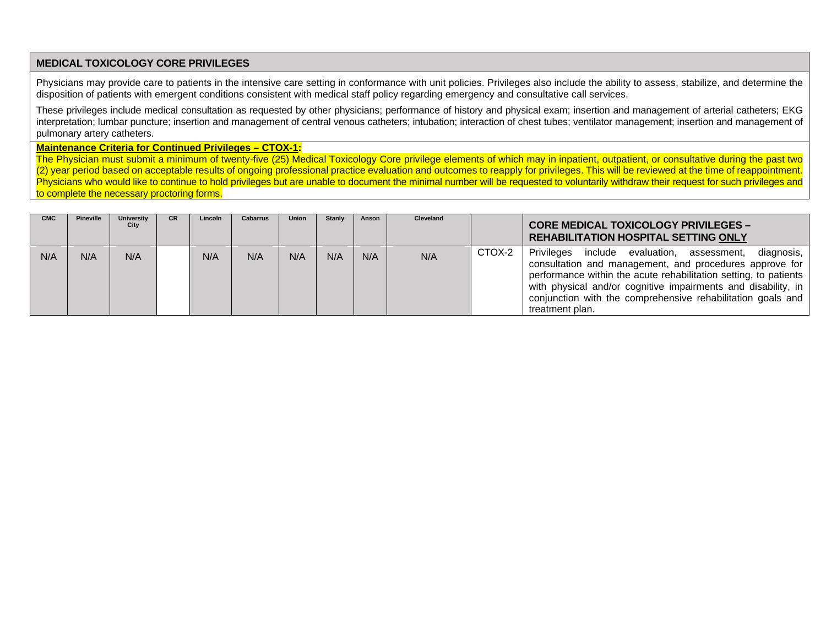## **MEDICAL TOXICOLOGY CORE PRIVILEGES**

Physicians may provide care to patients in the intensive care setting in conformance with unit policies. Privileges also include the ability to assess, stabilize, and determine the disposition of patients with emergent conditions consistent with medical staff policy regarding emergency and consultative call services.

These privileges include medical consultation as requested by other physicians; performance of history and physical exam; insertion and management of arterial catheters; EKG interpretation; lumbar puncture; insertion and management of central venous catheters; intubation; interaction of chest tubes; ventilator management; insertion and management of pulmonary artery catheters.

**Maintenance Criteria for Continued Privileges – CTOX-1:**

The Physician must submit a minimum of twenty-five (25) Medical Toxicology Core privilege elements of which may in inpatient, outpatient, or consultative during the past two (2) year period based on acceptable results of ongoing professional practice evaluation and outcomes to reapply for privileges. This will be reviewed at the time of reappointment. Physicians who would like to continue to hold privileges but are unable to document the minimal number will be requested to voluntarily withdraw their request for such privileges and to complete the necessary proctoring forms.

| <b>CMC</b> | Pineville | University<br>City | CR. | Lincoln | Cabarrus | Union | Stanly | Anson | Cleveland |        | <b>CORE MEDICAL TOXICOLOGY PRIVILEGES -</b><br><b>REHABILITATION HOSPITAL SETTING ONLY</b>                                                                                                                                                                                                                                                 |
|------------|-----------|--------------------|-----|---------|----------|-------|--------|-------|-----------|--------|--------------------------------------------------------------------------------------------------------------------------------------------------------------------------------------------------------------------------------------------------------------------------------------------------------------------------------------------|
| N/A        | N/A       | N/A                |     | N/A     | N/A      | N/A   | N/A    | N/A   | N/A       | CTOX-2 | Privileges include evaluation, assessment,<br>diagnosis,<br>consultation and management, and procedures approve for<br>performance within the acute rehabilitation setting, to patients<br>with physical and/or cognitive impairments and disability, in<br>conjunction with the comprehensive rehabilitation goals and<br>treatment plan. |